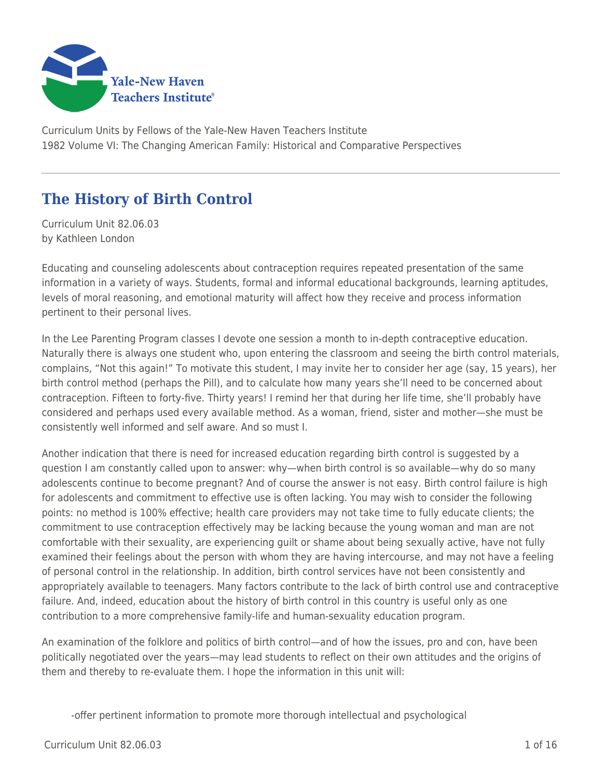

Curriculum Units by Fellows of the Yale-New Haven Teachers Institute 1982 Volume VI: The Changing American Family: Historical and Comparative Perspectives

# **The History of Birth Control**

Curriculum Unit 82.06.03 by Kathleen London

Educating and counseling adolescents about contraception requires repeated presentation of the same information in a variety of ways. Students, formal and informal educational backgrounds, learning aptitudes, levels of moral reasoning, and emotional maturity will affect how they receive and process information pertinent to their personal lives.

In the Lee Parenting Program classes I devote one session a month to in-depth contraceptive education. Naturally there is always one student who, upon entering the classroom and seeing the birth control materials, complains, "Not this again!" To motivate this student, I may invite her to consider her age (say, 15 years), her birth control method (perhaps the Pill), and to calculate how many years she'll need to be concerned about contraception. Fifteen to forty-five. Thirty years! I remind her that during her life time, she'll probably have considered and perhaps used every available method. As a woman, friend, sister and mother—she must be consistently well informed and self aware. And so must I.

Another indication that there is need for increased education regarding birth control is suggested by a question I am constantly called upon to answer: why—when birth control is so available—why do so many adolescents continue to become pregnant? And of course the answer is not easy. Birth control failure is high for adolescents and commitment to effective use is often lacking. You may wish to consider the following points: no method is 100% effective; health care providers may not take time to fully educate clients; the commitment to use contraception effectively may be lacking because the young woman and man are not comfortable with their sexuality, are experiencing guilt or shame about being sexually active, have not fully examined their feelings about the person with whom they are having intercourse, and may not have a feeling of personal control in the relationship. In addition, birth control services have not been consistently and appropriately available to teenagers. Many factors contribute to the lack of birth control use and contraceptive failure. And, indeed, education about the history of birth control in this country is useful only as one contribution to a more comprehensive family-life and human-sexuality education program.

An examination of the folklore and politics of birth control—and of how the issues, pro and con, have been politically negotiated over the years—may lead students to reflect on their own attitudes and the origins of them and thereby to re-evaluate them. I hope the information in this unit will:

-offer pertinent information to promote more thorough intellectual and psychological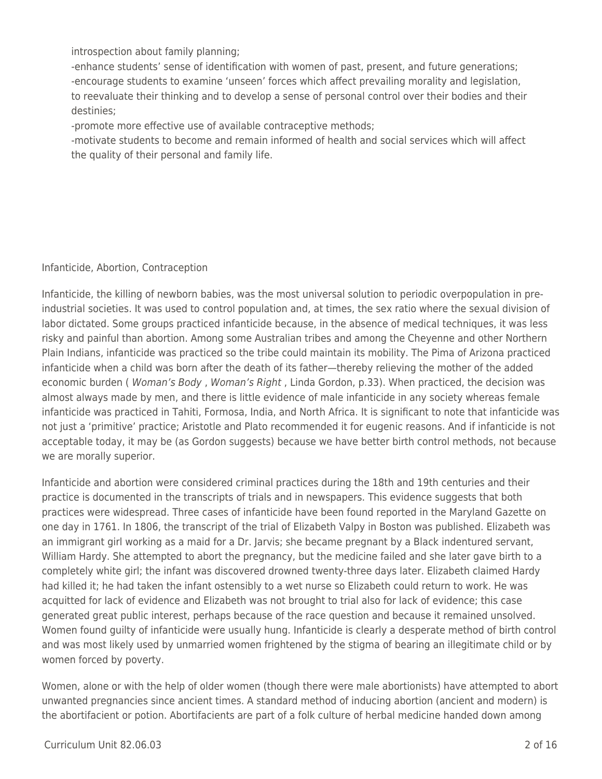introspection about family planning;

-enhance students' sense of identification with women of past, present, and future generations; -encourage students to examine 'unseen' forces which affect prevailing morality and legislation, to reevaluate their thinking and to develop a sense of personal control over their bodies and their destinies;

-promote more effective use of available contraceptive methods;

-motivate students to become and remain informed of health and social services which will affect the quality of their personal and family life.

### Infanticide, Abortion, Contraception

Infanticide, the killing of newborn babies, was the most universal solution to periodic overpopulation in preindustrial societies. It was used to control population and, at times, the sex ratio where the sexual division of labor dictated. Some groups practiced infanticide because, in the absence of medical techniques, it was less risky and painful than abortion. Among some Australian tribes and among the Cheyenne and other Northern Plain Indians, infanticide was practiced so the tribe could maintain its mobility. The Pima of Arizona practiced infanticide when a child was born after the death of its father—thereby relieving the mother of the added economic burden ( Woman's Body, Woman's Right, Linda Gordon, p.33). When practiced, the decision was almost always made by men, and there is little evidence of male infanticide in any society whereas female infanticide was practiced in Tahiti, Formosa, India, and North Africa. It is significant to note that infanticide was not just a 'primitive' practice; Aristotle and Plato recommended it for eugenic reasons. And if infanticide is not acceptable today, it may be (as Gordon suggests) because we have better birth control methods, not because we are morally superior.

Infanticide and abortion were considered criminal practices during the 18th and 19th centuries and their practice is documented in the transcripts of trials and in newspapers. This evidence suggests that both practices were widespread. Three cases of infanticide have been found reported in the Maryland Gazette on one day in 1761. In 1806, the transcript of the trial of Elizabeth Valpy in Boston was published. Elizabeth was an immigrant girl working as a maid for a Dr. Jarvis; she became pregnant by a Black indentured servant, William Hardy. She attempted to abort the pregnancy, but the medicine failed and she later gave birth to a completely white girl; the infant was discovered drowned twenty-three days later. Elizabeth claimed Hardy had killed it; he had taken the infant ostensibly to a wet nurse so Elizabeth could return to work. He was acquitted for lack of evidence and Elizabeth was not brought to trial also for lack of evidence; this case generated great public interest, perhaps because of the race question and because it remained unsolved. Women found guilty of infanticide were usually hung. Infanticide is clearly a desperate method of birth control and was most likely used by unmarried women frightened by the stigma of bearing an illegitimate child or by women forced by poverty.

Women, alone or with the help of older women (though there were male abortionists) have attempted to abort unwanted pregnancies since ancient times. A standard method of inducing abortion (ancient and modern) is the abortifacient or potion. Abortifacients are part of a folk culture of herbal medicine handed down among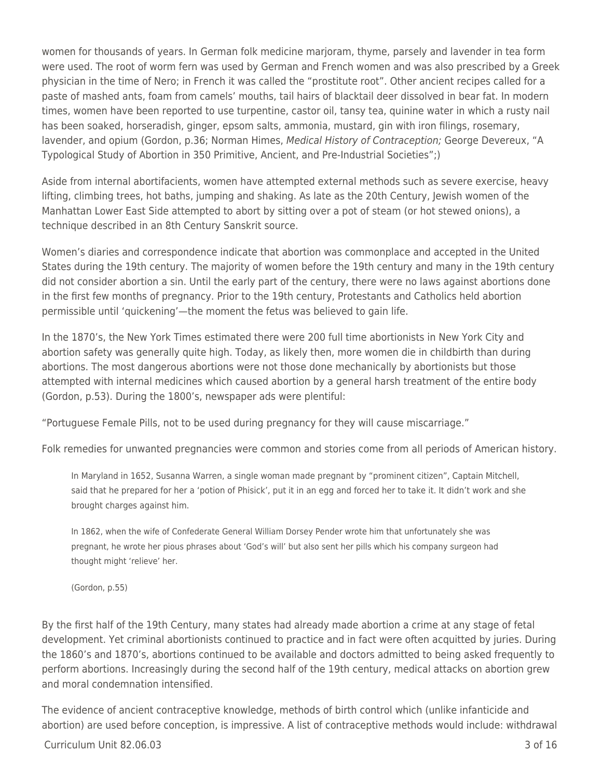women for thousands of years. In German folk medicine marjoram, thyme, parsely and lavender in tea form were used. The root of worm fern was used by German and French women and was also prescribed by a Greek physician in the time of Nero; in French it was called the "prostitute root". Other ancient recipes called for a paste of mashed ants, foam from camels' mouths, tail hairs of blacktail deer dissolved in bear fat. In modern times, women have been reported to use turpentine, castor oil, tansy tea, quinine water in which a rusty nail has been soaked, horseradish, ginger, epsom salts, ammonia, mustard, gin with iron filings, rosemary, lavender, and opium (Gordon, p.36; Norman Himes, Medical History of Contraception; George Devereux, "A Typological Study of Abortion in 350 Primitive, Ancient, and Pre-Industrial Societies";)

Aside from internal abortifacients, women have attempted external methods such as severe exercise, heavy lifting, climbing trees, hot baths, jumping and shaking. As late as the 20th Century, Jewish women of the Manhattan Lower East Side attempted to abort by sitting over a pot of steam (or hot stewed onions), a technique described in an 8th Century Sanskrit source.

Women's diaries and correspondence indicate that abortion was commonplace and accepted in the United States during the 19th century. The majority of women before the 19th century and many in the 19th century did not consider abortion a sin. Until the early part of the century, there were no laws against abortions done in the first few months of pregnancy. Prior to the 19th century, Protestants and Catholics held abortion permissible until 'quickening'—the moment the fetus was believed to gain life.

In the 1870's, the New York Times estimated there were 200 full time abortionists in New York City and abortion safety was generally quite high. Today, as likely then, more women die in childbirth than during abortions. The most dangerous abortions were not those done mechanically by abortionists but those attempted with internal medicines which caused abortion by a general harsh treatment of the entire body (Gordon, p.53). During the 1800's, newspaper ads were plentiful:

"Portuguese Female Pills, not to be used during pregnancy for they will cause miscarriage."

Folk remedies for unwanted pregnancies were common and stories come from all periods of American history.

In Maryland in 1652, Susanna Warren, a single woman made pregnant by "prominent citizen", Captain Mitchell, said that he prepared for her a 'potion of Phisick', put it in an egg and forced her to take it. It didn't work and she brought charges against him.

In 1862, when the wife of Confederate General William Dorsey Pender wrote him that unfortunately she was pregnant, he wrote her pious phrases about 'God's will' but also sent her pills which his company surgeon had thought might 'relieve' her.

(Gordon, p.55)

By the first half of the 19th Century, many states had already made abortion a crime at any stage of fetal development. Yet criminal abortionists continued to practice and in fact were often acquitted by juries. During the 1860's and 1870's, abortions continued to be available and doctors admitted to being asked frequently to perform abortions. Increasingly during the second half of the 19th century, medical attacks on abortion grew and moral condemnation intensified.

The evidence of ancient contraceptive knowledge, methods of birth control which (unlike infanticide and abortion) are used before conception, is impressive. A list of contraceptive methods would include: withdrawal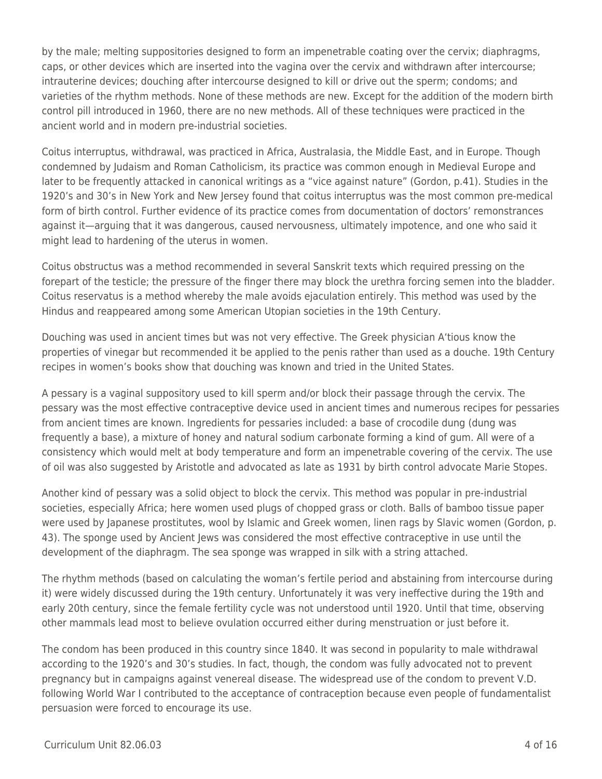by the male; melting suppositories designed to form an impenetrable coating over the cervix; diaphragms, caps, or other devices which are inserted into the vagina over the cervix and withdrawn after intercourse; intrauterine devices; douching after intercourse designed to kill or drive out the sperm; condoms; and varieties of the rhythm methods. None of these methods are new. Except for the addition of the modern birth control pill introduced in 1960, there are no new methods. All of these techniques were practiced in the ancient world and in modern pre-industrial societies.

Coitus interruptus, withdrawal, was practiced in Africa, Australasia, the Middle East, and in Europe. Though condemned by Judaism and Roman Catholicism, its practice was common enough in Medieval Europe and later to be frequently attacked in canonical writings as a "vice against nature" (Gordon, p.41). Studies in the 1920's and 30's in New York and New Jersey found that coitus interruptus was the most common pre-medical form of birth control. Further evidence of its practice comes from documentation of doctors' remonstrances against it—arguing that it was dangerous, caused nervousness, ultimately impotence, and one who said it might lead to hardening of the uterus in women.

Coitus obstructus was a method recommended in several Sanskrit texts which required pressing on the forepart of the testicle; the pressure of the finger there may block the urethra forcing semen into the bladder. Coitus reservatus is a method whereby the male avoids ejaculation entirely. This method was used by the Hindus and reappeared among some American Utopian societies in the 19th Century.

Douching was used in ancient times but was not very effective. The Greek physician A'tious know the properties of vinegar but recommended it be applied to the penis rather than used as a douche. 19th Century recipes in women's books show that douching was known and tried in the United States.

A pessary is a vaginal suppository used to kill sperm and/or block their passage through the cervix. The pessary was the most effective contraceptive device used in ancient times and numerous recipes for pessaries from ancient times are known. Ingredients for pessaries included: a base of crocodile dung (dung was frequently a base), a mixture of honey and natural sodium carbonate forming a kind of gum. All were of a consistency which would melt at body temperature and form an impenetrable covering of the cervix. The use of oil was also suggested by Aristotle and advocated as late as 1931 by birth control advocate Marie Stopes.

Another kind of pessary was a solid object to block the cervix. This method was popular in pre-industrial societies, especially Africa; here women used plugs of chopped grass or cloth. Balls of bamboo tissue paper were used by Japanese prostitutes, wool by Islamic and Greek women, linen rags by Slavic women (Gordon, p. 43). The sponge used by Ancient Jews was considered the most effective contraceptive in use until the development of the diaphragm. The sea sponge was wrapped in silk with a string attached.

The rhythm methods (based on calculating the woman's fertile period and abstaining from intercourse during it) were widely discussed during the 19th century. Unfortunately it was very ineffective during the 19th and early 20th century, since the female fertility cycle was not understood until 1920. Until that time, observing other mammals lead most to believe ovulation occurred either during menstruation or just before it.

The condom has been produced in this country since 1840. It was second in popularity to male withdrawal according to the 1920's and 30's studies. In fact, though, the condom was fully advocated not to prevent pregnancy but in campaigns against venereal disease. The widespread use of the condom to prevent V.D. following World War I contributed to the acceptance of contraception because even people of fundamentalist persuasion were forced to encourage its use.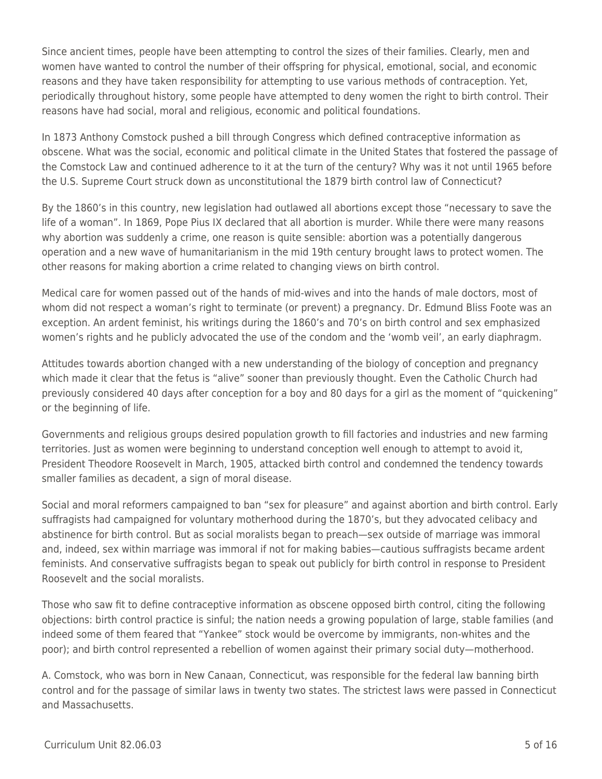Since ancient times, people have been attempting to control the sizes of their families. Clearly, men and women have wanted to control the number of their offspring for physical, emotional, social, and economic reasons and they have taken responsibility for attempting to use various methods of contraception. Yet, periodically throughout history, some people have attempted to deny women the right to birth control. Their reasons have had social, moral and religious, economic and political foundations.

In 1873 Anthony Comstock pushed a bill through Congress which defined contraceptive information as obscene. What was the social, economic and political climate in the United States that fostered the passage of the Comstock Law and continued adherence to it at the turn of the century? Why was it not until 1965 before the U.S. Supreme Court struck down as unconstitutional the 1879 birth control law of Connecticut?

By the 1860's in this country, new legislation had outlawed all abortions except those "necessary to save the life of a woman". In 1869, Pope Pius IX declared that all abortion is murder. While there were many reasons why abortion was suddenly a crime, one reason is quite sensible: abortion was a potentially dangerous operation and a new wave of humanitarianism in the mid 19th century brought laws to protect women. The other reasons for making abortion a crime related to changing views on birth control.

Medical care for women passed out of the hands of mid-wives and into the hands of male doctors, most of whom did not respect a woman's right to terminate (or prevent) a pregnancy. Dr. Edmund Bliss Foote was an exception. An ardent feminist, his writings during the 1860's and 70's on birth control and sex emphasized women's rights and he publicly advocated the use of the condom and the 'womb veil', an early diaphragm.

Attitudes towards abortion changed with a new understanding of the biology of conception and pregnancy which made it clear that the fetus is "alive" sooner than previously thought. Even the Catholic Church had previously considered 40 days after conception for a boy and 80 days for a girl as the moment of "quickening" or the beginning of life.

Governments and religious groups desired population growth to fill factories and industries and new farming territories. Just as women were beginning to understand conception well enough to attempt to avoid it, President Theodore Roosevelt in March, 1905, attacked birth control and condemned the tendency towards smaller families as decadent, a sign of moral disease.

Social and moral reformers campaigned to ban "sex for pleasure" and against abortion and birth control. Early suffragists had campaigned for voluntary motherhood during the 1870's, but they advocated celibacy and abstinence for birth control. But as social moralists began to preach—sex outside of marriage was immoral and, indeed, sex within marriage was immoral if not for making babies—cautious suffragists became ardent feminists. And conservative suffragists began to speak out publicly for birth control in response to President Roosevelt and the social moralists.

Those who saw fit to define contraceptive information as obscene opposed birth control, citing the following objections: birth control practice is sinful; the nation needs a growing population of large, stable families (and indeed some of them feared that "Yankee" stock would be overcome by immigrants, non-whites and the poor); and birth control represented a rebellion of women against their primary social duty—motherhood.

A. Comstock, who was born in New Canaan, Connecticut, was responsible for the federal law banning birth control and for the passage of similar laws in twenty two states. The strictest laws were passed in Connecticut and Massachusetts.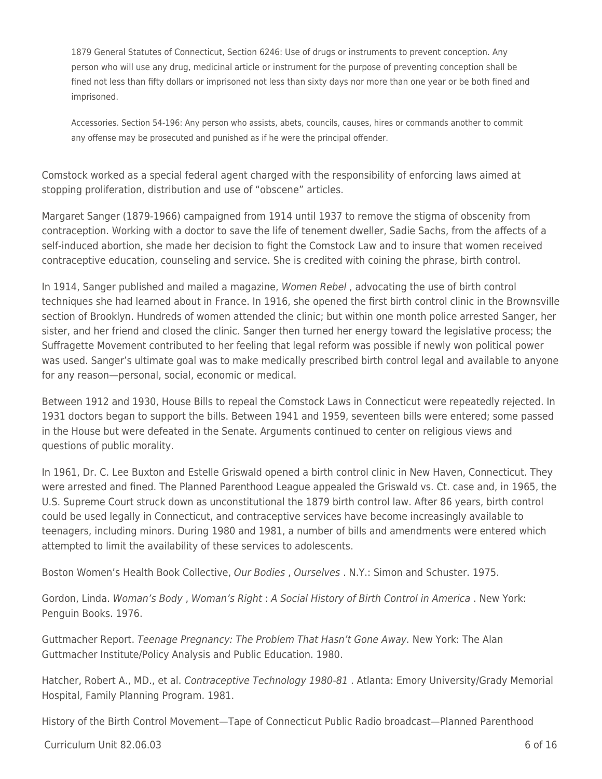1879 General Statutes of Connecticut, Section 6246: Use of drugs or instruments to prevent conception. Any person who will use any drug, medicinal article or instrument for the purpose of preventing conception shall be fined not less than fifty dollars or imprisoned not less than sixty days nor more than one year or be both fined and imprisoned.

Accessories. Section 54-196: Any person who assists, abets, councils, causes, hires or commands another to commit any offense may be prosecuted and punished as if he were the principal offender.

Comstock worked as a special federal agent charged with the responsibility of enforcing laws aimed at stopping proliferation, distribution and use of "obscene" articles.

Margaret Sanger (1879-1966) campaigned from 1914 until 1937 to remove the stigma of obscenity from contraception. Working with a doctor to save the life of tenement dweller, Sadie Sachs, from the affects of a self-induced abortion, she made her decision to fight the Comstock Law and to insure that women received contraceptive education, counseling and service. She is credited with coining the phrase, birth control.

In 1914, Sanger published and mailed a magazine, Women Rebel , advocating the use of birth control techniques she had learned about in France. In 1916, she opened the first birth control clinic in the Brownsville section of Brooklyn. Hundreds of women attended the clinic; but within one month police arrested Sanger, her sister, and her friend and closed the clinic. Sanger then turned her energy toward the legislative process; the Suffragette Movement contributed to her feeling that legal reform was possible if newly won political power was used. Sanger's ultimate goal was to make medically prescribed birth control legal and available to anyone for any reason—personal, social, economic or medical.

Between 1912 and 1930, House Bills to repeal the Comstock Laws in Connecticut were repeatedly rejected. In 1931 doctors began to support the bills. Between 1941 and 1959, seventeen bills were entered; some passed in the House but were defeated in the Senate. Arguments continued to center on religious views and questions of public morality.

In 1961, Dr. C. Lee Buxton and Estelle Griswald opened a birth control clinic in New Haven, Connecticut. They were arrested and fined. The Planned Parenthood League appealed the Griswald vs. Ct. case and, in 1965, the U.S. Supreme Court struck down as unconstitutional the 1879 birth control law. After 86 years, birth control could be used legally in Connecticut, and contraceptive services have become increasingly available to teenagers, including minors. During 1980 and 1981, a number of bills and amendments were entered which attempted to limit the availability of these services to adolescents.

Boston Women's Health Book Collective, Our Bodies, Ourselves . N.Y.: Simon and Schuster. 1975.

Gordon, Linda. Woman's Body , Woman's Right : A Social History of Birth Control in America . New York: Penguin Books. 1976.

Guttmacher Report. Teenage Pregnancy: The Problem That Hasn't Gone Away. New York: The Alan Guttmacher Institute/Policy Analysis and Public Education. 1980.

Hatcher, Robert A., MD., et al. Contraceptive Technology 1980-81 . Atlanta: Emory University/Grady Memorial Hospital, Family Planning Program. 1981.

History of the Birth Control Movement—Tape of Connecticut Public Radio broadcast—Planned Parenthood

 $Curir$ iulum Unit 82.06.03 6 of 16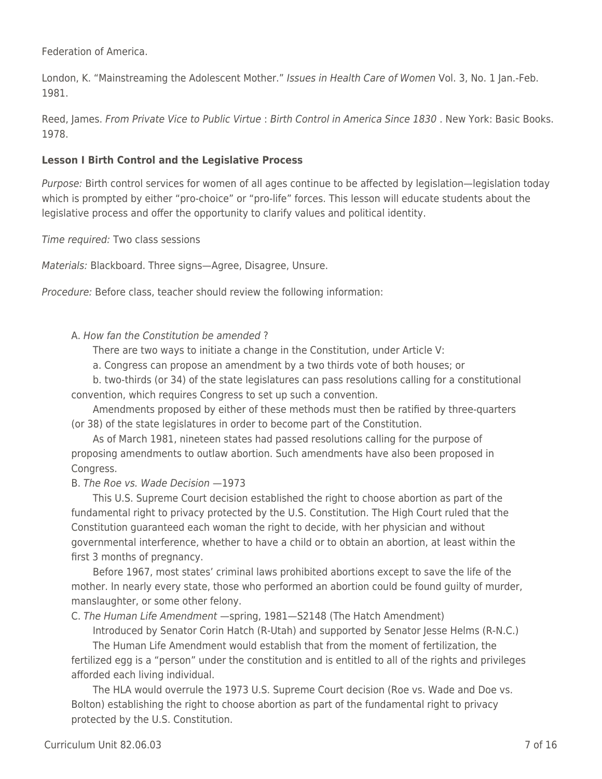Federation of America.

London, K. "Mainstreaming the Adolescent Mother." Issues in Health Care of Women Vol. 3, No. 1 Jan.-Feb. 1981.

Reed, James. From Private Vice to Public Virtue : Birth Control in America Since 1830 . New York: Basic Books. 1978.

### **Lesson I Birth Control and the Legislative Process**

Purpose: Birth control services for women of all ages continue to be affected by legislation—legislation today which is prompted by either "pro-choice" or "pro-life" forces. This lesson will educate students about the legislative process and offer the opportunity to clarify values and political identity.

Time required: Two class sessions

Materials: Blackboard. Three signs—Agree, Disagree, Unsure.

Procedure: Before class, teacher should review the following information:

#### A. How fan the Constitution be amended ?

There are two ways to initiate a change in the Constitution, under Article V:

\_\_\_\_ a. Congress can propose an amendment by a two thirds vote of both houses; or

b. two-thirds (or 34) of the state legislatures can pass resolutions calling for a constitutional convention, which requires Congress to set up such a convention.

Amendments proposed by either of these methods must then be ratified by three-quarters (or 38) of the state legislatures in order to become part of the Constitution.

As of March 1981, nineteen states had passed resolutions calling for the purpose of proposing amendments to outlaw abortion. Such amendments have also been proposed in Congress.

#### B. The Roe vs. Wade Decision —1973

This U.S. Supreme Court decision established the right to choose abortion as part of the fundamental right to privacy protected by the U.S. Constitution. The High Court ruled that the Constitution guaranteed each woman the right to decide, with her physician and without governmental interference, whether to have a child or to obtain an abortion, at least within the first 3 months of pregnancy.

\_\_\_\_ Before 1967, most states' criminal laws prohibited abortions except to save the life of the mother. In nearly every state, those who performed an abortion could be found guilty of murder, manslaughter, or some other felony.

C. The Human Life Amendment —spring, 1981—S2148 (The Hatch Amendment)

Introduced by Senator Corin Hatch (R-Utah) and supported by Senator Jesse Helms (R-N.C.)

\_\_\_\_ The Human Life Amendment would establish that from the moment of fertilization, the fertilized egg is a "person" under the constitution and is entitled to all of the rights and privileges afforded each living individual.

The HLA would overrule the 1973 U.S. Supreme Court decision (Roe vs. Wade and Doe vs. Bolton) establishing the right to choose abortion as part of the fundamental right to privacy protected by the U.S. Constitution.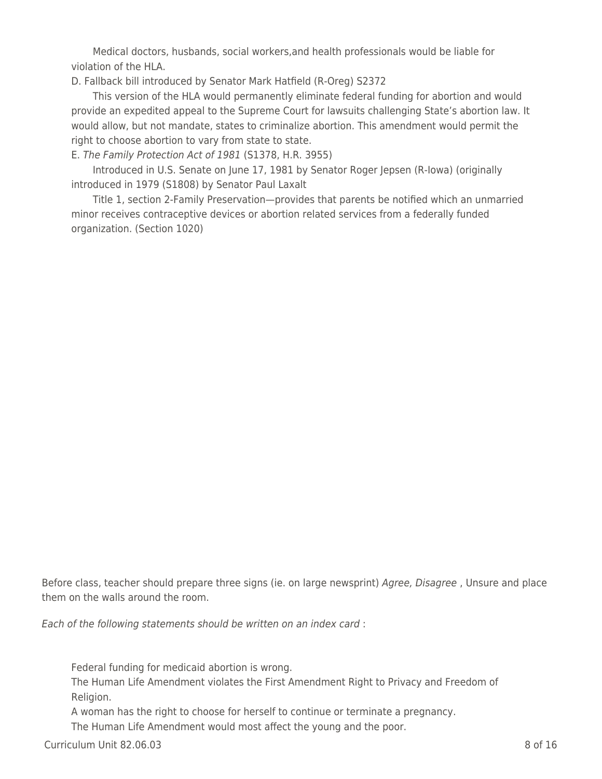\_\_\_\_ Medical doctors, husbands, social workers,and health professionals would be liable for violation of the HLA.

D. Fallback bill introduced by Senator Mark Hatfield (R-Oreg) S2372

This version of the HLA would permanently eliminate federal funding for abortion and would provide an expedited appeal to the Supreme Court for lawsuits challenging State's abortion law. It would allow, but not mandate, states to criminalize abortion. This amendment would permit the right to choose abortion to vary from state to state.

E. The Family Protection Act of 1981 (S1378, H.R. 3955)

Introduced in U.S. Senate on June 17, 1981 by Senator Roger Jepsen (R-Iowa) (originally introduced in 1979 (S1808) by Senator Paul Laxalt

Title 1, section 2-Family Preservation—provides that parents be notified which an unmarried minor receives contraceptive devices or abortion related services from a federally funded organization. (Section 1020)

Before class, teacher should prepare three signs (ie. on large newsprint) Agree, Disagree, Unsure and place them on the walls around the room.

Each of the following statements should be written on an index card :

Federal funding for medicaid abortion is wrong.

The Human Life Amendment violates the First Amendment Right to Privacy and Freedom of Religion.

A woman has the right to choose for herself to continue or terminate a pregnancy.

The Human Life Amendment would most affect the young and the poor.

 $C$ urriculum Unit 82.06.03  $\qquad \qquad$  8 of 16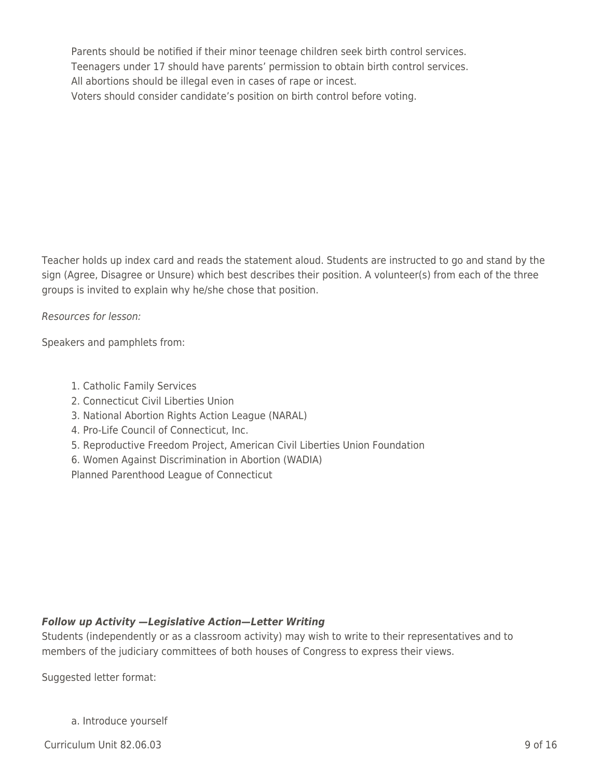Parents should be notified if their minor teenage children seek birth control services. Teenagers under 17 should have parents' permission to obtain birth control services. All abortions should be illegal even in cases of rape or incest. Voters should consider candidate's position on birth control before voting.

Teacher holds up index card and reads the statement aloud. Students are instructed to go and stand by the sign (Agree, Disagree or Unsure) which best describes their position. A volunteer(s) from each of the three groups is invited to explain why he/she chose that position.

Resources for lesson:

Speakers and pamphlets from:

- 1. Catholic Family Services
- 2. Connecticut Civil Liberties Union
- 3. National Abortion Rights Action League (NARAL)
- 4. Pro-Life Council of Connecticut, Inc.
- 5. Reproductive Freedom Project, American Civil Liberties Union Foundation
- 6. Women Against Discrimination in Abortion (WADIA)

Planned Parenthood League of Connecticut

#### *Follow up Activity —Legislative Action—Letter Writing*

Students (independently or as a classroom activity) may wish to write to their representatives and to members of the judiciary committees of both houses of Congress to express their views.

Suggested letter format:

a. Introduce yourself

 $C$ urriculum Unit 82.06.03 9 of 16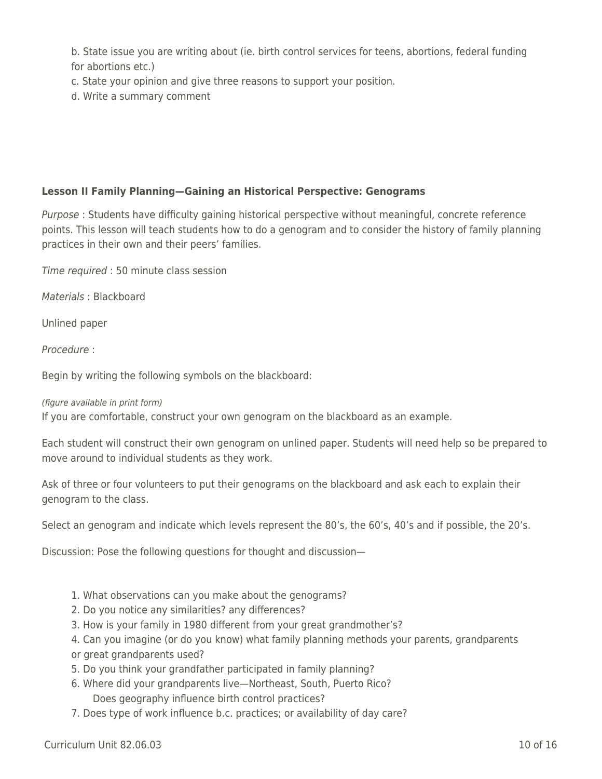b. State issue you are writing about (ie. birth control services for teens, abortions, federal funding for abortions etc.)

- c. State your opinion and give three reasons to support your position.
- d. Write a summary comment

### **Lesson II Family Planning—Gaining an Historical Perspective: Genograms**

Purpose : Students have difficulty gaining historical perspective without meaningful, concrete reference points. This lesson will teach students how to do a genogram and to consider the history of family planning practices in their own and their peers' families.

Time required : 50 minute class session

Materials : Blackboard

Unlined paper

Procedure :

Begin by writing the following symbols on the blackboard:

(figure available in print form)

If you are comfortable, construct your own genogram on the blackboard as an example.

Each student will construct their own genogram on unlined paper. Students will need help so be prepared to move around to individual students as they work.

Ask of three or four volunteers to put their genograms on the blackboard and ask each to explain their genogram to the class.

Select an genogram and indicate which levels represent the 80's, the 60's, 40's and if possible, the 20's.

Discussion: Pose the following questions for thought and discussion—

- 1. What observations can you make about the genograms?
- 2. Do you notice any similarities? any differences?
- 3. How is your family in 1980 different from your great grandmother's?
- 4. Can you imagine (or do you know) what family planning methods your parents, grandparents or great grandparents used?
- 5. Do you think your grandfather participated in family planning?
- 6. Where did your grandparents live—Northeast, South, Puerto Rico? Does geography influence birth control practices?
- 7. Does type of work influence b.c. practices; or availability of day care?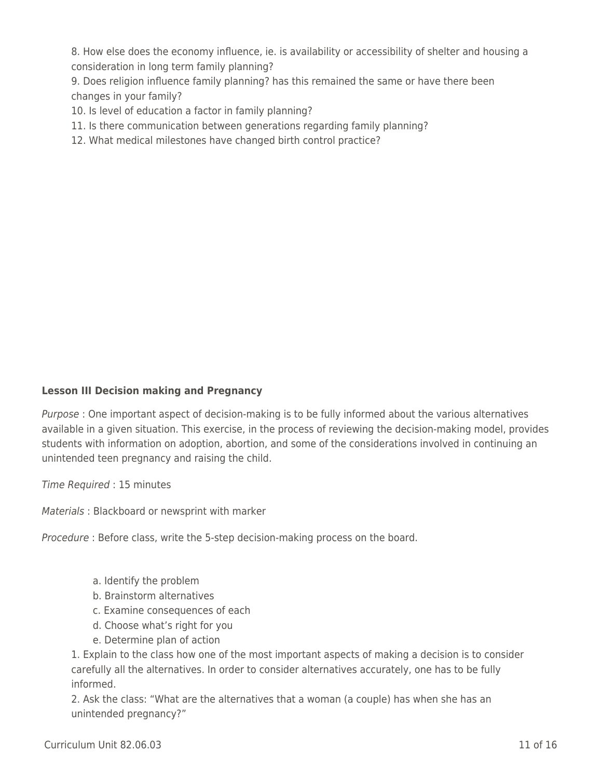8. How else does the economy influence, ie. is availability or accessibility of shelter and housing a consideration in long term family planning?

9. Does religion influence family planning? has this remained the same or have there been changes in your family?

10. Is level of education a factor in family planning?

- 11. Is there communication between generations regarding family planning?
- 12. What medical milestones have changed birth control practice?

#### **Lesson III Decision making and Pregnancy**

Purpose : One important aspect of decision-making is to be fully informed about the various alternatives available in a given situation. This exercise, in the process of reviewing the decision-making model, provides students with information on adoption, abortion, and some of the considerations involved in continuing an unintended teen pregnancy and raising the child.

Time Required : 15 minutes

Materials : Blackboard or newsprint with marker

Procedure : Before class, write the 5-step decision-making process on the board.

- a. Identify the problem
- b. Brainstorm alternatives
- \_\_\_\_ c. Examine consequences of each
- d. Choose what's right for you
- e. Determine plan of action

1. Explain to the class how one of the most important aspects of making a decision is to consider carefully all the alternatives. In order to consider alternatives accurately, one has to be fully informed.

2. Ask the class: "What are the alternatives that a woman (a couple) has when she has an unintended pregnancy?"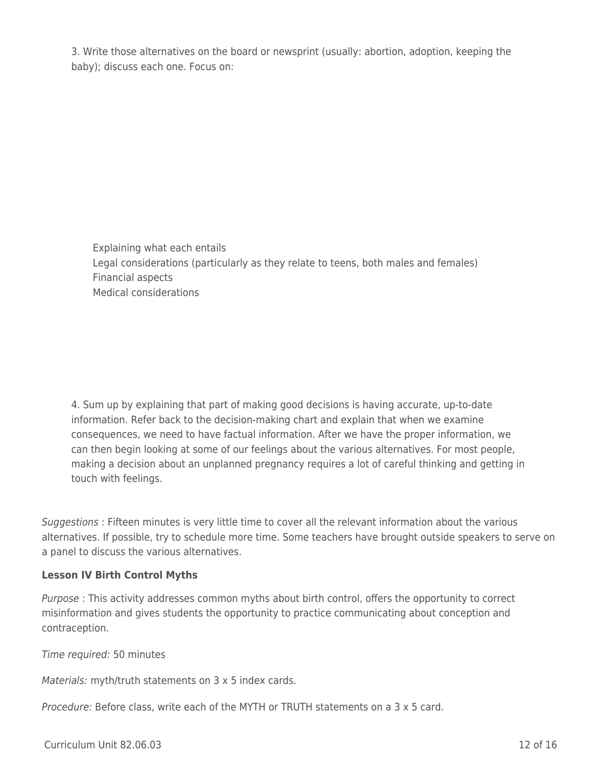3. Write those alternatives on the board or newsprint (usually: abortion, adoption, keeping the baby); discuss each one. Focus on:

Explaining what each entails Legal considerations (particularly as they relate to teens, both males and females) Financial aspects Medical considerations

4. Sum up by explaining that part of making good decisions is having accurate, up-to-date information. Refer back to the decision-making chart and explain that when we examine consequences, we need to have factual information. After we have the proper information, we can then begin looking at some of our feelings about the various alternatives. For most people, making a decision about an unplanned pregnancy requires a lot of careful thinking and getting in touch with feelings.

Suggestions : Fifteen minutes is very little time to cover all the relevant information about the various alternatives. If possible, try to schedule more time. Some teachers have brought outside speakers to serve on a panel to discuss the various alternatives.

#### **Lesson IV Birth Control Myths**

Purpose : This activity addresses common myths about birth control, offers the opportunity to correct misinformation and gives students the opportunity to practice communicating about conception and contraception.

Time required: 50 minutes

Materials: myth/truth statements on 3 x 5 index cards.

Procedure: Before class, write each of the MYTH or TRUTH statements on a 3 x 5 card.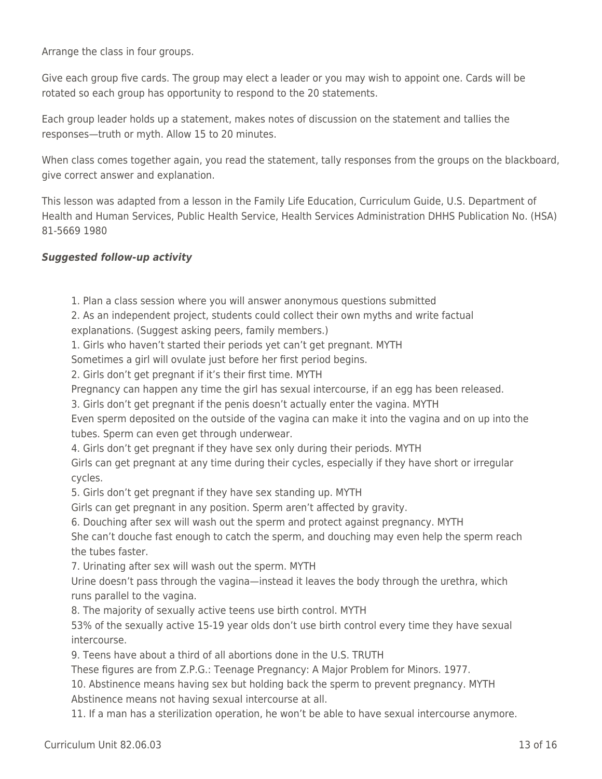Arrange the class in four groups.

Give each group five cards. The group may elect a leader or you may wish to appoint one. Cards will be rotated so each group has opportunity to respond to the 20 statements.

Each group leader holds up a statement, makes notes of discussion on the statement and tallies the responses—truth or myth. Allow 15 to 20 minutes.

When class comes together again, you read the statement, tally responses from the groups on the blackboard, give correct answer and explanation.

This lesson was adapted from a lesson in the Family Life Education, Curriculum Guide, U.S. Department of Health and Human Services, Public Health Service, Health Services Administration DHHS Publication No. (HSA) 81-5669 1980

#### *Suggested follow-up activity*

1. Plan a class session where you will answer anonymous questions submitted

2. As an independent project, students could collect their own myths and write factual explanations. (Suggest asking peers, family members.)

1. Girls who haven't started their periods yet can't get pregnant. MYTH

Sometimes a girl will ovulate just before her first period begins.

2. Girls don't get pregnant if it's their first time. MYTH

Pregnancy can happen any time the girl has sexual intercourse, if an egg has been released.

3. Girls don't get pregnant if the penis doesn't actually enter the vagina. MYTH

Even sperm deposited on the outside of the vagina can make it into the vagina and on up into the tubes. Sperm can even get through underwear.

4. Girls don't get pregnant if they have sex only during their periods. MYTH

Girls can get pregnant at any time during their cycles, especially if they have short or irregular cycles.

5. Girls don't get pregnant if they have sex standing up. MYTH

Girls can get pregnant in any position. Sperm aren't affected by gravity.

6. Douching after sex will wash out the sperm and protect against pregnancy. MYTH

She can't douche fast enough to catch the sperm, and douching may even help the sperm reach the tubes faster.

7. Urinating after sex will wash out the sperm. MYTH

Urine doesn't pass through the vagina—instead it leaves the body through the urethra, which runs parallel to the vagina.

8. The majority of sexually active teens use birth control. MYTH

53% of the sexually active 15-19 year olds don't use birth control every time they have sexual intercourse.

9. Teens have about a third of all abortions done in the U.S. TRUTH

These figures are from Z.P.G.: Teenage Pregnancy: A Major Problem for Minors. 1977.

10. Abstinence means having sex but holding back the sperm to prevent pregnancy. MYTH Abstinence means not having sexual intercourse at all.

11. If a man has a sterilization operation, he won't be able to have sexual intercourse anymore.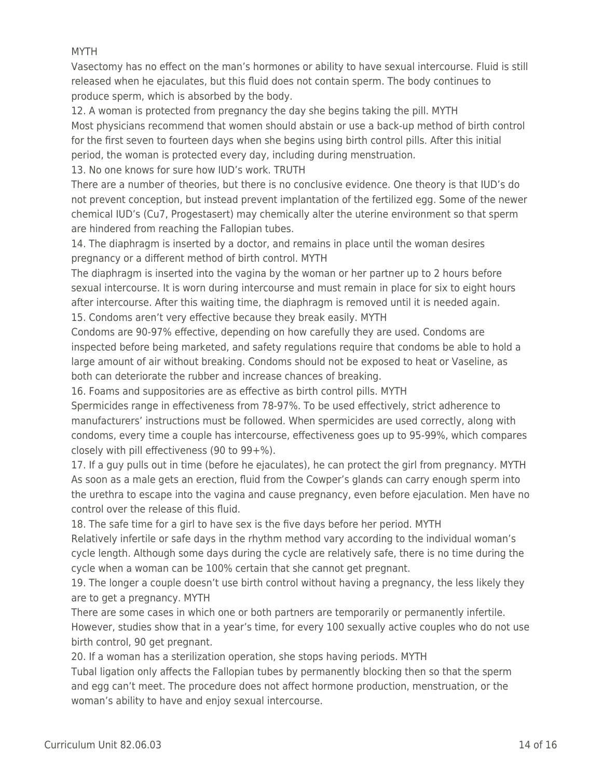#### MYTH

Vasectomy has no effect on the man's hormones or ability to have sexual intercourse. Fluid is still released when he ejaculates, but this fluid does not contain sperm. The body continues to produce sperm, which is absorbed by the body.

12. A woman is protected from pregnancy the day she begins taking the pill. MYTH Most physicians recommend that women should abstain or use a back-up method of birth control for the first seven to fourteen days when she begins using birth control pills. After this initial period, the woman is protected every day, including during menstruation.

13. No one knows for sure how IUD's work. TRUTH

There are a number of theories, but there is no conclusive evidence. One theory is that IUD's do not prevent conception, but instead prevent implantation of the fertilized egg. Some of the newer chemical IUD's (Cu7, Progestasert) may chemically alter the uterine environment so that sperm are hindered from reaching the Fallopian tubes.

14. The diaphragm is inserted by a doctor, and remains in place until the woman desires pregnancy or a different method of birth control. MYTH

The diaphragm is inserted into the vagina by the woman or her partner up to 2 hours before sexual intercourse. It is worn during intercourse and must remain in place for six to eight hours after intercourse. After this waiting time, the diaphragm is removed until it is needed again. 15. Condoms aren't very effective because they break easily. MYTH

Condoms are 90-97% effective, depending on how carefully they are used. Condoms are inspected before being marketed, and safety regulations require that condoms be able to hold a large amount of air without breaking. Condoms should not be exposed to heat or Vaseline, as both can deteriorate the rubber and increase chances of breaking.

16. Foams and suppositories are as effective as birth control pills. MYTH

Spermicides range in effectiveness from 78-97%. To be used effectively, strict adherence to manufacturers' instructions must be followed. When spermicides are used correctly, along with condoms, every time a couple has intercourse, effectiveness goes up to 95-99%, which compares closely with pill effectiveness (90 to 99+%).

17. If a guy pulls out in time (before he ejaculates), he can protect the girl from pregnancy. MYTH As soon as a male gets an erection, fluid from the Cowper's glands can carry enough sperm into the urethra to escape into the vagina and cause pregnancy, even before ejaculation. Men have no control over the release of this fluid.

18. The safe time for a girl to have sex is the five days before her period. MYTH

Relatively infertile or safe days in the rhythm method vary according to the individual woman's cycle length. Although some days during the cycle are relatively safe, there is no time during the cycle when a woman can be 100% certain that she cannot get pregnant.

19. The longer a couple doesn't use birth control without having a pregnancy, the less likely they are to get a pregnancy. MYTH

There are some cases in which one or both partners are temporarily or permanently infertile. However, studies show that in a year's time, for every 100 sexually active couples who do not use birth control, 90 get pregnant.

20. If a woman has a sterilization operation, she stops having periods. MYTH

Tubal ligation only affects the Fallopian tubes by permanently blocking then so that the sperm and egg can't meet. The procedure does not affect hormone production, menstruation, or the woman's ability to have and enjoy sexual intercourse.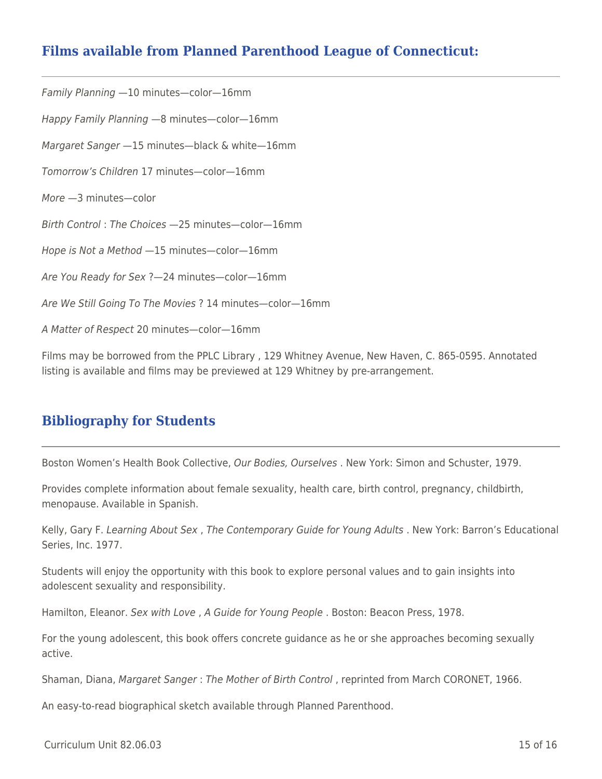## **Films available from Planned Parenthood League of Connecticut:**

Family Planning —10 minutes—color—16mm Happy Family Planning —8 minutes—color—16mm Margaret Sanger —15 minutes—black & white—16mm Tomorrow's Children 17 minutes—color—16mm More —3 minutes—color Birth Control : The Choices —25 minutes—color—16mm Hope is Not a Method —15 minutes—color—16mm Are You Ready for Sex ?—24 minutes—color—16mm Are We Still Going To The Movies ? 14 minutes—color—16mm A Matter of Respect 20 minutes—color—16mm

Films may be borrowed from the PPLC Library , 129 Whitney Avenue, New Haven, C. 865-0595. Annotated listing is available and films may be previewed at 129 Whitney by pre-arrangement.

## **Bibliography for Students**

Boston Women's Health Book Collective, Our Bodies, Ourselves . New York: Simon and Schuster, 1979.

Provides complete information about female sexuality, health care, birth control, pregnancy, childbirth, menopause. Available in Spanish.

Kelly, Gary F. Learning About Sex , The Contemporary Guide for Young Adults . New York: Barron's Educational Series, Inc. 1977.

Students will enjoy the opportunity with this book to explore personal values and to gain insights into adolescent sexuality and responsibility.

Hamilton, Eleanor. Sex with Love , A Guide for Young People . Boston: Beacon Press, 1978.

For the young adolescent, this book offers concrete guidance as he or she approaches becoming sexually active.

Shaman, Diana, Margaret Sanger : The Mother of Birth Control , reprinted from March CORONET, 1966.

An easy-to-read biographical sketch available through Planned Parenthood.